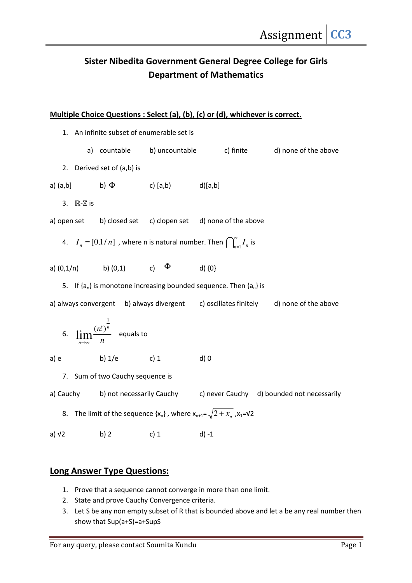## Sister Nibedita Government General Degree College for Girls Department of Mathematics

## Multiple Choice Questions : Select (a), (b), (c) or (d), whichever is correct.

1. An infinite subset of enumerable set is a) countable b) uncountable c) finite d) none of the above 2. Derived set of (a,b) is a)  $(a,b]$  b)  $\Phi$  c)  $[a,b]$  d) $[a,b]$ 3. ℝ-**ℤ** is a) open set b) closed set c) clopen set d) none of the above 4.  $I_n = [0,1/n]$  , where n is natural number. Then  $\bigcap_{n=1}^{\infty}$  $\sum_{n=1}^{\infty} I_n$  is a)  $(0,1/n)$  b)  $(0,1)$  c)  $\Phi$  d)  $\{0\}$ 5. If  ${a_n}$  is monotone increasing bounded sequence. Then  ${a_n}$  is a) always convergent b) always divergent c) oscillates finitely d) none of the above 6.  $\lim_{n\to\infty} \frac{\sqrt{n}}{n}$  $n!$ )<sup>n</sup> *n* 1  $\lim_{n\to\infty}\frac{(n!)^n}{n}$  equals to a) e b)  $1/e$  c) 1 d) 0 7. Sum of two Cauchy sequence is a) Cauchy b) not necessarily Cauchy c) never Cauchy d) bounded not necessarily 8. The limit of the sequence { $x_n$ }, where  $x_{n+1} = \sqrt{2 + x_n}$ ,  $x_1 = v2$ a)  $\sqrt{2}$  b) 2 c) 1 d) -1

## Long Answer Type Questions:

- 1. Prove that a sequence cannot converge in more than one limit.
- 2. State and prove Cauchy Convergence criteria.
- 3. Let S be any non empty subset of R that is bounded above and let a be any real number then show that Sup(a+S)=a+SupS